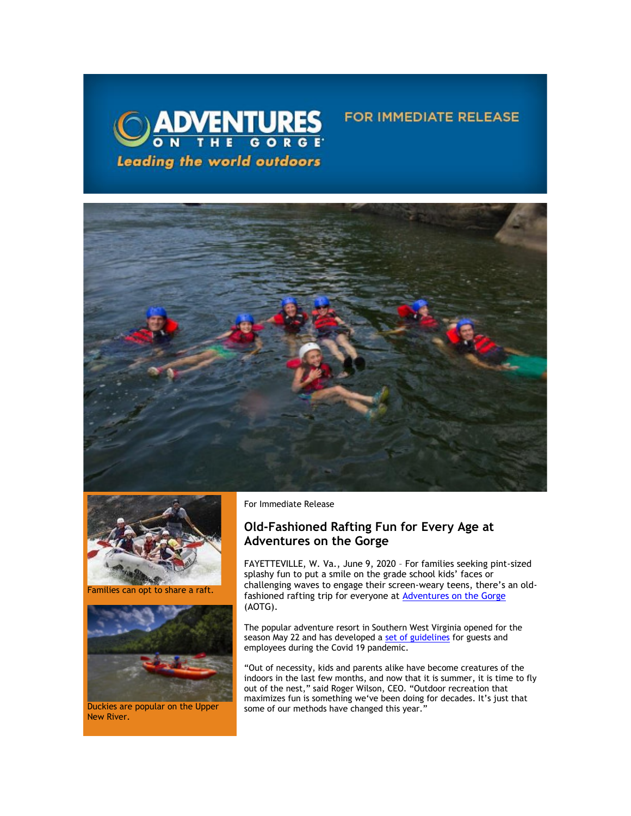

## **FOR IMMEDIATE RELEASE**





Families can opt to share a raft.



Duckies are popular on the Upper New River.

For Immediate Release

## **Old-Fashioned Rafting Fun for Every Age at Adventures on the Gorge**

FAYETTEVILLE, W. Va., June 9, 2020 – For families seeking pint-sized splashy fun to put a smile on the grade school kids' faces or challenging waves to engage their screen-weary teens, there's an oldfashioned rafting trip for everyone at [Adventures on the Gorge](https://click.icptrack.com/icp/relay.php?r=13440961&msgid=455512&act=3SPQ&c=1378153&destination=http%3A%2F%2Fwww.adventuresonthegorge.com%2F&cf=13608&v=5a6d29c5bd89500c6946838c97b8849561ebbd48dbb2fdae9fe0068cb3f8e60e) (AOTG).

The popular adventure resort in Southern West Virginia opened for the season May 22 and has developed a [set of guidelines](https://click.icptrack.com/icp/relay.php?r=13440961&msgid=455512&act=3SPQ&c=1378153&destination=https%3A%2F%2Fadventuresonthegorge.com%2Fwebinar%2F&cf=13608&v=0e256f2f09d819a61663a3ae02d7066dc4ae97c0dedcefbb946cbc909829e0ff) for guests and employees during the Covid 19 pandemic.

"Out of necessity, kids and parents alike have become creatures of the indoors in the last few months, and now that it is summer, it is time to fly out of the nest," said Roger Wilson, CEO. "Outdoor recreation that maximizes fun is something we've been doing for decades. It's just that some of our methods have changed this year."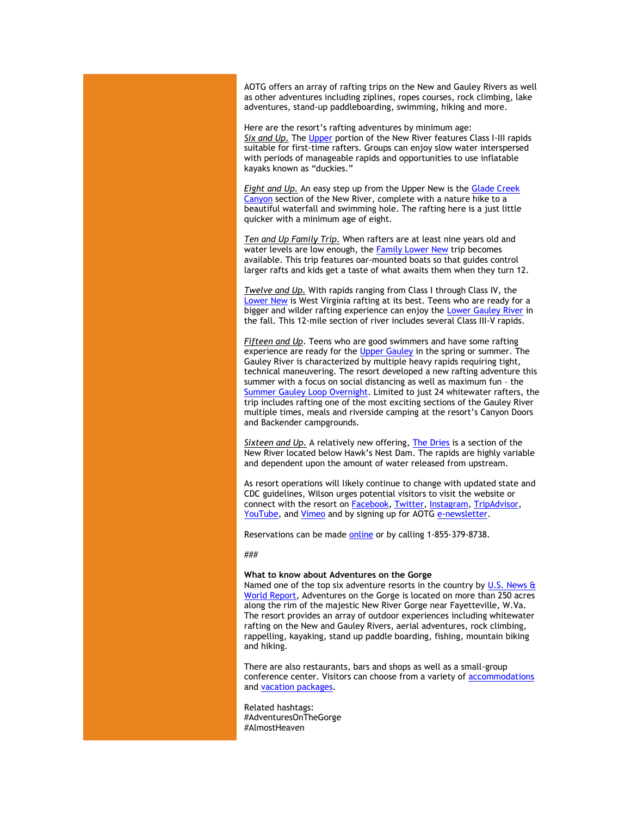AOTG offers an array of rafting trips on the New and Gauley Rivers as well as other adventures including ziplines, ropes courses, rock climbing, lake adventures, stand-up paddleboarding, swimming, hiking and more.

Here are the resort's rafting adventures by minimum age: *Six and Up.* Th[e Upper](https://click.icptrack.com/icp/relay.php?r=13440961&msgid=455512&act=3SPQ&c=1378153&destination=https%3A%2F%2Fwww.adventuresonthegorge.com%2Freservation%2Fadd%2Fupper-new-river-white-water-rafting&cf=13608&v=b3880d8f6f22d49ac14a44f150cc6fe21c4532b2e707bb78aac686afb3ebcb70) portion of the New River features Class I-III rapids suitable for first-time rafters. Groups can enjoy slow water interspersed with periods of manageable rapids and opportunities to use inflatable kayaks known as "duckies."

*Eight and Up.* An easy step up from the Upper New is th[e Glade Creek](https://click.icptrack.com/icp/relay.php?r=13440961&msgid=455512&act=3SPQ&c=1378153&destination=https%3A%2F%2Fwww.adventuresonthegorge.com%2Fadventures%2Fwhitewater-rafting%2Fglade-creek-canyon-rafting-hiking&cf=13608&v=6803063f910ea7f66cee54936f6c39ee0f824e9a6f26ea7671dade734a2f5df4)  [Canyon](https://click.icptrack.com/icp/relay.php?r=13440961&msgid=455512&act=3SPQ&c=1378153&destination=https%3A%2F%2Fwww.adventuresonthegorge.com%2Fadventures%2Fwhitewater-rafting%2Fglade-creek-canyon-rafting-hiking&cf=13608&v=6803063f910ea7f66cee54936f6c39ee0f824e9a6f26ea7671dade734a2f5df4) section of the New River, complete with a nature hike to a beautiful waterfall and swimming hole. The rafting here is a just little quicker with a minimum age of eight.

*Ten and Up Family Trip.* When rafters are at least nine years old and water levels are low enough, the [Family Lower New](https://click.icptrack.com/icp/relay.php?r=13440961&msgid=455512&act=3SPQ&c=1378153&destination=https%3A%2F%2Fwww.adventuresonthegorge.com%2Fadventures%2Fwhitewater-rafting%2Ffamily-lower-new-river-rafting&cf=13608&v=44ea9622647a71ea0efff21cfefad14ca18c1bf8ab7e2001a74145da431d2971) trip becomes available. This trip features oar-mounted boats so that guides control larger rafts and kids get a taste of what awaits them when they turn 12.

*Twelve and Up.* With rapids ranging from Class I through Class IV, the [Lower New](https://click.icptrack.com/icp/relay.php?r=13440961&msgid=455512&act=3SPQ&c=1378153&destination=https%3A%2F%2Fwww.adventuresonthegorge.com%2Fadventures%2Fwhitewater-rafting%2Flower-new-river-rapid-run-half-day&cf=13608&v=483122e453121c1169559957cc19ada260015177d484a348fcd569d4767eae2a) is West Virginia rafting at its best. Teens who are ready for a bigger and wilder rafting experience can enjoy the [Lower Gauley River](https://click.icptrack.com/icp/relay.php?r=13440961&msgid=455512&act=3SPQ&c=1378153&destination=https%3A%2F%2Fwww.adventuresonthegorge.com%2Fadventures%2Fwhitewater-rafting%2Ffall-lower-gauley-river-white-water-rafting&cf=13608&v=51d35dd350d338fb9aac0769a6ca9fe5d3f7d2b4a0ebab5fdd586fdbc5840099) in the fall. This 12-mile section of river includes several Class III-V rapids.

*Fifteen and Up*. Teens who are good swimmers and have some rafting experience are ready for the [Upper Gauley](https://click.icptrack.com/icp/relay.php?r=13440961&msgid=455512&act=3SPQ&c=1378153&destination=https%3A%2F%2Fwww.adventuresonthegorge.com%2Fadventures%2Fwhitewater-rafting%2Fspring-summer-gauley-river-white-water&cf=13608&v=fb5a9f759a2f16c806faa3c2e96a6f8f79834fbb08e4becb24a0bf548a0ffd3d) in the spring or summer. The Gauley River is characterized by multiple heavy rapids requiring tight, technical maneuvering. The resort developed a new rafting adventure this summer with a focus on social distancing as well as maximum fun – the [Summer Gauley Loop Overnight.](https://click.icptrack.com/icp/relay.php?r=13440961&msgid=455512&act=3SPQ&c=1378153&destination=https%3A%2F%2Fadventuresonthegorge.com%2Fadventures%2Fwhitewater-rafting%2Fsummer-gauley-loop-overnight%2F&cf=13608&v=4850d45587df31612fc20496dd2cce90cea3787d6dbc23d49d242d845627523b) Limited to just 24 whitewater rafters, the trip includes rafting one of the most exciting sections of the Gauley River multiple times, meals and riverside camping at the resort's Canyon Doors and Backender campgrounds.

**Sixteen and Up.** A relatively new offering[, The Dries](https://click.icptrack.com/icp/relay.php?r=13440961&msgid=455512&act=3SPQ&c=1378153&destination=https%3A%2F%2Fadventuresonthegorge.com%2Fadventures%2Fwhitewater-rafting%2Fthe-dries-half-day-rafting-trip%2F&cf=13608&v=f052780c71a1b291d2b488f6700aab35ae0302058be08d6e45be2a3becba0fdc) is a section of the New River located below Hawk's Nest Dam. The rapids are highly variable and dependent upon the amount of water released from upstream.

As resort operations will likely continue to change with updated state and CDC guidelines, Wilson urges potential visitors to visit the website or connect with the resort on [Facebook,](https://click.icptrack.com/icp/relay.php?r=13440961&msgid=455512&act=3SPQ&c=1378153&destination=https%3A%2F%2Fwww.facebook.com%2Fadventuresonthegorge&cf=13608&v=3ae1e8e26c07dbafaaeed67c8a0b8fc0091b0e50b2e6c3b2133cb61911e107ad) [Twitter,](https://click.icptrack.com/icp/relay.php?r=13440961&msgid=455512&act=3SPQ&c=1378153&destination=https%3A%2F%2Ftwitter.com%2Fonthegorge&cf=13608&v=44da65765a4741d2084650c093dae53617e5c7c92b9f6819d24521654e5f4fd3) [Instagram,](https://click.icptrack.com/icp/relay.php?r=13440961&msgid=455512&act=3SPQ&c=1378153&destination=https%3A%2F%2Fwww.instagram.com%2Fonthegorge%2F&cf=13608&v=1ee16880632f1eb73eb9ad24dd989e2d12bd5a71d0cb5b3945f15e683acdaa9e) [TripAdvisor,](https://click.icptrack.com/icp/relay.php?r=13440961&msgid=455512&act=3SPQ&c=1378153&destination=https%3A%2F%2Fwww.tripadvisor.com%2FAttraction_Review-g59234-d2233643-Reviews-Adventures_on_the_Gorge-Lansing_West_Virginia.html&cf=13608&v=812472f5ea0d5eed3fed4db26567b4c884479f53ef512c18d25b071271e965bc) [YouTube,](https://click.icptrack.com/icp/relay.php?r=13440961&msgid=455512&act=3SPQ&c=1378153&destination=https%3A%2F%2Fwww.youtube.com%2Fuser%2FAdventuresOnTheGorge&cf=13608&v=7b71b3e994e129bfdca87c6523149b64faacb62e001d98eb26897d7c7236e8cc) and [Vimeo](https://click.icptrack.com/icp/relay.php?r=13440961&msgid=455512&act=3SPQ&c=1378153&destination=https%3A%2F%2Fvimeo.com%2Fuser4260102&cf=13608&v=4ff82f41c6c552c9da3c61684889fad58e153a690bdb0b74761adab86ca752a0) and by signing up for AOTG [e-newsletter.](https://click.icptrack.com/icp/relay.php?r=13440961&msgid=455512&act=3SPQ&c=1378153&destination=https%3A%2F%2Fadventuresonthegorge.com%2F&cf=13608&v=a83cd0882452dd5ad1794082623f8c176d7586c5f6015a054a1c7b875f219550)

Reservations can be made [online o](https://click.icptrack.com/icp/relay.php?r=13440961&msgid=455512&act=3SPQ&c=1378153&destination=https%3A%2F%2Fadventuresonthegorge.com%2Fadventures%2Fwhitewater-rafting%2Fsummer-gauley-loop-overnight%2F&cf=13608&v=4850d45587df31612fc20496dd2cce90cea3787d6dbc23d49d242d845627523b)r by calling 1-855-379-8738.

###

## **What to know about Adventures on the Gorge**

Named one of the top six adventure resorts in the country by U.S. News & [World Report,](https://click.icptrack.com/icp/relay.php?r=13440961&msgid=455512&act=3SPQ&c=1378153&destination=http%3A%2F%2Ftravel.usnews.com%2Fgallery%2Famericas-6-top-adventure-resorts&cf=13608&v=764bfdbe430f777c5bcc69b025c1a8805ca5cbb157f8c18454c411b272e07901) Adventures on the Gorge is located on more than 250 acres along the rim of the majestic New River Gorge near Fayetteville, W.Va. The resort provides an array of outdoor experiences including whitewater rafting on the New and Gauley Rivers, aerial adventures, rock climbing, rappelling, kayaking, stand up paddle boarding, fishing, mountain biking and hiking.

There are also restaurants, bars and shops as well as a small-group conference center. Visitors can choose from a variety o[f accommodations](https://click.icptrack.com/icp/relay.php?r=13440961&msgid=455512&act=3SPQ&c=1378153&destination=https%3A%2F%2Fadventuresonthegorge.com%2Flodging%2F&cf=13608&v=a0a1ec07ee637c78242d3333295573a8e337130c936224b8e1d32f73fd9e88eb) and [vacation packages.](https://click.icptrack.com/icp/relay.php?r=13440961&msgid=455512&act=3SPQ&c=1378153&destination=https%3A%2F%2Fadventuresonthegorge.com%2Fpackages%2F&cf=13608&v=8751df1b896b42a43c8f638cff3537e1a0bec91ccd87a43021a073a818c593de)

Related hashtags: #AdventuresOnTheGorge #AlmostHeaven